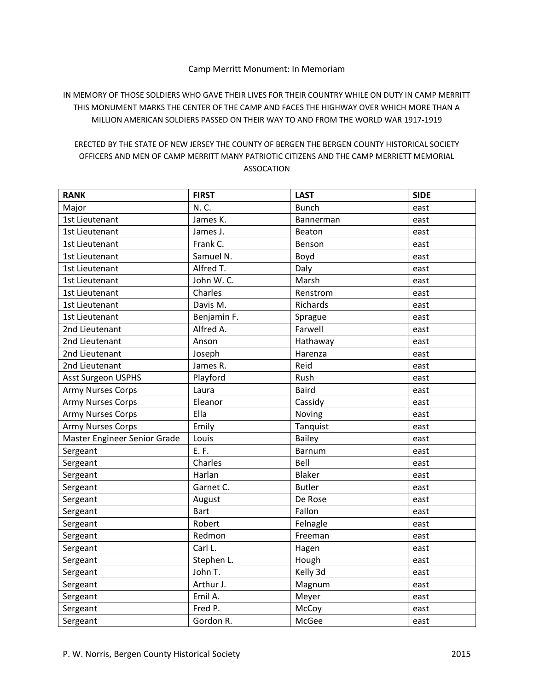## Camp Merritt Monument: In Memoriam

IN MEMORY OF THOSE SOLDIERS WHO GAVE THEIR LIVES FOR THEIR COUNTRY WHILE ON DUTY IN CAMP MERRITT THIS MONUMENT MARKS THE CENTER OF THE CAMP AND FACES THE HIGHWAY OVER WHICH MORE THAN A MILLION AMERICAN SOLDIERS PASSED ON THEIR WAY TO AND FROM THE WORLD WAR 1917-1919

## ERECTED BY THE STATE OF NEW JERSEY THE COUNTY OF BERGEN THE BERGEN COUNTY HISTORICAL SOCIETY OFFICERS AND MEN OF CAMP MERRITT MANY PATRIOTIC CITIZENS AND THE CAMP MERRIETT MEMORIAL ASSOCATION

| <b>RANK</b>                  | <b>FIRST</b> | <b>LAST</b>   | <b>SIDE</b> |
|------------------------------|--------------|---------------|-------------|
| Major                        | N.C.         | <b>Bunch</b>  | east        |
| 1st Lieutenant               | James K.     | Bannerman     | east        |
| 1st Lieutenant               | James J.     | Beaton        | east        |
| 1st Lieutenant               | Frank C.     | Benson        | east        |
| 1st Lieutenant               | Samuel N.    | Boyd          | east        |
| 1st Lieutenant               | Alfred T.    | Daly          | east        |
| 1st Lieutenant               | John W.C.    | Marsh         | east        |
| 1st Lieutenant               | Charles      | Renstrom      | east        |
| 1st Lieutenant               | Davis M.     | Richards      | east        |
| 1st Lieutenant               | Benjamin F.  | Sprague       | east        |
| 2nd Lieutenant               | Alfred A.    | Farwell       | east        |
| 2nd Lieutenant               | Anson        | Hathaway      | east        |
| 2nd Lieutenant               | Joseph       | Harenza       | east        |
| 2nd Lieutenant               | James R.     | Reid          | east        |
| <b>Asst Surgeon USPHS</b>    | Playford     | Rush          | east        |
| <b>Army Nurses Corps</b>     | Laura        | <b>Baird</b>  | east        |
| <b>Army Nurses Corps</b>     | Eleanor      | Cassidy       | east        |
| <b>Army Nurses Corps</b>     | Ella         | Noving        | east        |
| <b>Army Nurses Corps</b>     | Emily        | Tanquist      | east        |
| Master Engineer Senior Grade | Louis        | <b>Bailey</b> | east        |
| Sergeant                     | E.F.         | <b>Barnum</b> | east        |
| Sergeant                     | Charles      | Bell          | east        |
| Sergeant                     | Harlan       | Blaker        | east        |
| Sergeant                     | Garnet C.    | <b>Butler</b> | east        |
| Sergeant                     | August       | De Rose       | east        |
| Sergeant                     | <b>Bart</b>  | Fallon        | east        |
| Sergeant                     | Robert       | Felnagle      | east        |
| Sergeant                     | Redmon       | Freeman       | east        |
| Sergeant                     | Carl L.      | Hagen         | east        |
| Sergeant                     | Stephen L.   | Hough         | east        |
| Sergeant                     | John T.      | Kelly 3d      | east        |
| Sergeant                     | Arthur J.    | Magnum        | east        |
| Sergeant                     | Emil A.      | Meyer         | east        |
| Sergeant                     | Fred P.      | McCoy         | east        |
| Sergeant                     | Gordon R.    | McGee         | east        |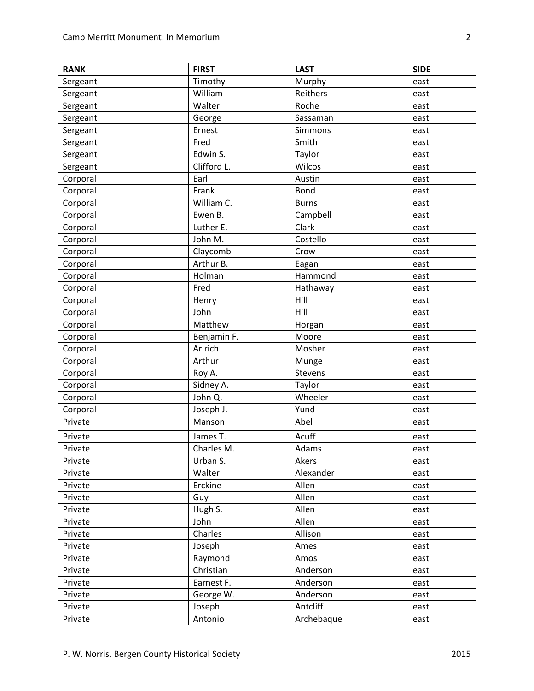| <b>RANK</b> | <b>FIRST</b> | <b>LAST</b>    | <b>SIDE</b> |
|-------------|--------------|----------------|-------------|
| Sergeant    | Timothy      | Murphy         | east        |
| Sergeant    | William      | Reithers       | east        |
| Sergeant    | Walter       | Roche          | east        |
| Sergeant    | George       | Sassaman       | east        |
| Sergeant    | Ernest       | Simmons        | east        |
| Sergeant    | Fred         | Smith          | east        |
| Sergeant    | Edwin S.     | Taylor         | east        |
| Sergeant    | Clifford L.  | Wilcos         | east        |
| Corporal    | Earl         | Austin         | east        |
| Corporal    | Frank        | Bond           | east        |
| Corporal    | William C.   | <b>Burns</b>   | east        |
| Corporal    | Ewen B.      | Campbell       | east        |
| Corporal    | Luther E.    | Clark          | east        |
| Corporal    | John M.      | Costello       | east        |
| Corporal    | Claycomb     | Crow           | east        |
| Corporal    | Arthur B.    | Eagan          | east        |
| Corporal    | Holman       | Hammond        | east        |
| Corporal    | Fred         | Hathaway       | east        |
| Corporal    | Henry        | Hill           | east        |
| Corporal    | John         | Hill           | east        |
| Corporal    | Matthew      | Horgan         | east        |
| Corporal    | Benjamin F.  | Moore          | east        |
| Corporal    | Arlrich      | Mosher         | east        |
| Corporal    | Arthur       | Munge          | east        |
| Corporal    | Roy A.       | <b>Stevens</b> | east        |
| Corporal    | Sidney A.    | Taylor         | east        |
| Corporal    | John Q.      | Wheeler        | east        |
| Corporal    | Joseph J.    | Yund           | east        |
| Private     | Manson       | Abel           | east        |
| Private     | James T.     | Acuff          | east        |
| Private     | Charles M.   | Adams          | east        |
| Private     | Urban S.     | Akers          | east        |
| Private     | Walter       | Alexander      | east        |
| Private     | Erckine      | Allen          | east        |
| Private     | Guy          | Allen          | east        |
| Private     | Hugh S.      | Allen          | east        |
| Private     | John         | Allen          | east        |
| Private     | Charles      | Allison        | east        |
| Private     | Joseph       | Ames           | east        |
| Private     | Raymond      | Amos           | east        |
| Private     | Christian    | Anderson       | east        |
| Private     | Earnest F.   | Anderson       | east        |
| Private     | George W.    | Anderson       | east        |
| Private     | Joseph       | Antcliff       | east        |
| Private     | Antonio      | Archebaque     | east        |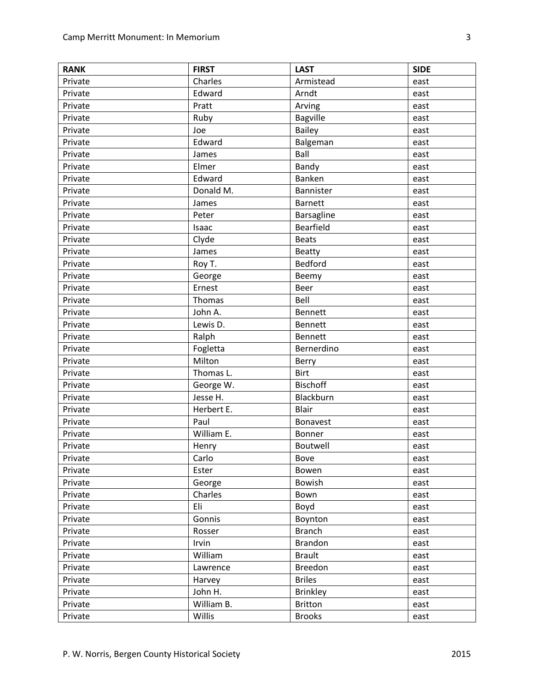| <b>RANK</b> | <b>FIRST</b> | <b>LAST</b>      | <b>SIDE</b> |
|-------------|--------------|------------------|-------------|
| Private     | Charles      | Armistead        | east        |
| Private     | Edward       | Arndt            | east        |
| Private     | Pratt        | Arving           | east        |
| Private     | Ruby         | <b>Bagville</b>  | east        |
| Private     | Joe          | Bailey           | east        |
| Private     | Edward       | Balgeman         | east        |
| Private     | James        | Ball             | east        |
| Private     | Elmer        | Bandy            | east        |
| Private     | Edward       | Banken           | east        |
| Private     | Donald M.    | Bannister        | east        |
| Private     | James        | <b>Barnett</b>   | east        |
| Private     | Peter        | Barsagline       | east        |
| Private     | Isaac        | <b>Bearfield</b> | east        |
| Private     | Clyde        | <b>Beats</b>     | east        |
| Private     | James        | <b>Beatty</b>    | east        |
| Private     | Roy T.       | Bedford          | east        |
| Private     | George       | Beemy            | east        |
| Private     | Ernest       | Beer             | east        |
| Private     | Thomas       | Bell             | east        |
| Private     | John A.      | <b>Bennett</b>   | east        |
| Private     | Lewis D.     | Bennett          | east        |
| Private     | Ralph        | <b>Bennett</b>   | east        |
| Private     | Fogletta     | Bernerdino       | east        |
| Private     | Milton       | Berry            | east        |
| Private     | Thomas L.    | <b>Birt</b>      | east        |
| Private     | George W.    | <b>Bischoff</b>  | east        |
| Private     | Jesse H.     | Blackburn        | east        |
| Private     | Herbert E.   | Blair            | east        |
| Private     | Paul         | Bonavest         | east        |
| Private     | William E.   | Bonner           | east        |
| Private     | Henry        | Boutwell         | east        |
| Private     | Carlo        | Bove             | east        |
| Private     | Ester        | Bowen            | east        |
| Private     | George       | Bowish           | east        |
| Private     | Charles      | Bown             | east        |
| Private     | Eli          | Boyd             | east        |
| Private     | Gonnis       | Boynton          | east        |
| Private     | Rosser       | <b>Branch</b>    | east        |
| Private     | Irvin        | <b>Brandon</b>   | east        |
| Private     | William      | <b>Brault</b>    | east        |
| Private     | Lawrence     | Breedon          | east        |
| Private     | Harvey       | <b>Briles</b>    | east        |
| Private     | John H.      | <b>Brinkley</b>  | east        |
| Private     | William B.   | <b>Britton</b>   | east        |
| Private     | Willis       | <b>Brooks</b>    | east        |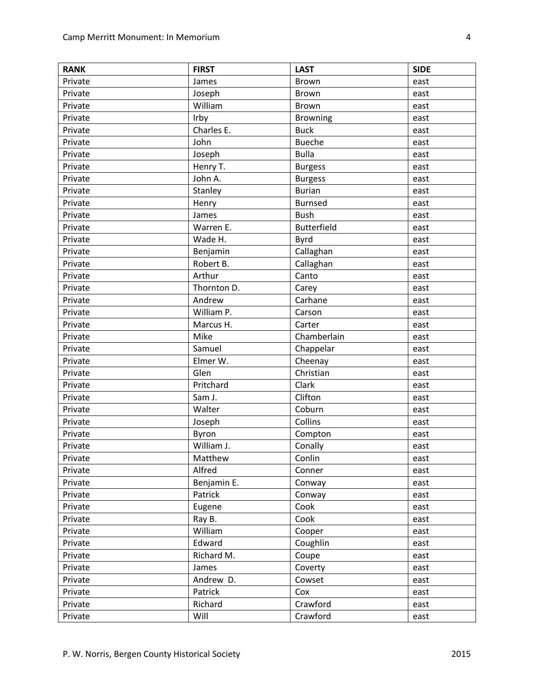| <b>RANK</b> | <b>FIRST</b> | <b>LAST</b>        | <b>SIDE</b> |
|-------------|--------------|--------------------|-------------|
| Private     | James        | Brown              | east        |
| Private     | Joseph       | Brown              | east        |
| Private     | William      | <b>Brown</b>       | east        |
| Private     | Irby         | <b>Browning</b>    | east        |
| Private     | Charles E.   | <b>Buck</b>        | east        |
| Private     | John         | <b>Bueche</b>      | east        |
| Private     | Joseph       | <b>Bulla</b>       | east        |
| Private     | Henry T.     | <b>Burgess</b>     | east        |
| Private     | John A.      | <b>Burgess</b>     | east        |
| Private     | Stanley      | <b>Burian</b>      | east        |
| Private     | Henry        | <b>Burnsed</b>     | east        |
| Private     | James        | <b>Bush</b>        | east        |
| Private     | Warren E.    | <b>Butterfield</b> | east        |
| Private     | Wade H.      | Byrd               | east        |
| Private     | Benjamin     | Callaghan          | east        |
| Private     | Robert B.    | Callaghan          | east        |
| Private     | Arthur       | Canto              | east        |
| Private     | Thornton D.  | Carey              | east        |
| Private     | Andrew       | Carhane            | east        |
| Private     | William P.   | Carson             | east        |
| Private     | Marcus H.    | Carter             | east        |
| Private     | Mike         | Chamberlain        | east        |
| Private     | Samuel       | Chappelar          | east        |
| Private     | Elmer W.     | Cheenay            | east        |
| Private     | Glen         | Christian          | east        |
| Private     | Pritchard    | Clark              | east        |
| Private     | Sam J.       | Clifton            | east        |
| Private     | Walter       | Coburn             | east        |
| Private     | Joseph       | Collins            | east        |
| Private     | Byron        | Compton            | east        |
| Private     | William J.   | Conally            | east        |
| Private     | Matthew      | Conlin             | east        |
| Private     | Alfred       | Conner             | east        |
| Private     | Benjamin E.  | Conway             | east        |
| Private     | Patrick      | Conway             | east        |
| Private     | Eugene       | Cook               | east        |
| Private     | Ray B.       | Cook               | east        |
| Private     | William      | Cooper             | east        |
| Private     | Edward       | Coughlin           | east        |
| Private     | Richard M.   | Coupe              | east        |
| Private     | James        | Coverty            | east        |
| Private     | Andrew D.    | Cowset             | east        |
| Private     | Patrick      | Cox                | east        |
| Private     | Richard      | Crawford           | east        |
| Private     | Will         | Crawford           | east        |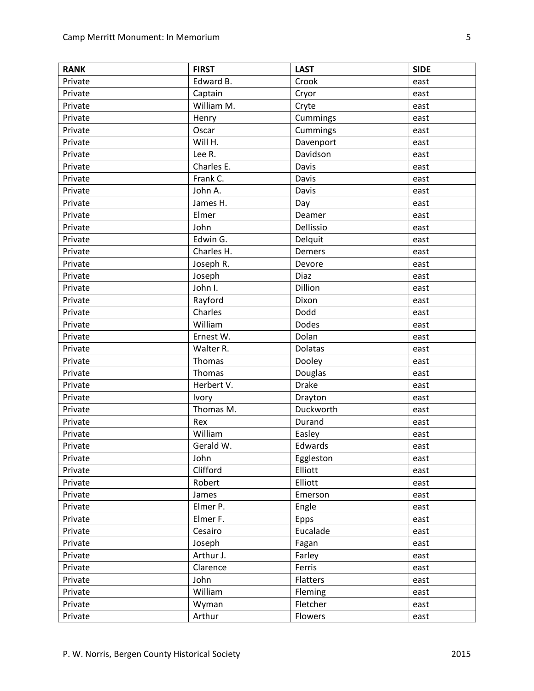| <b>RANK</b> | <b>FIRST</b> | <b>LAST</b>    | <b>SIDE</b> |
|-------------|--------------|----------------|-------------|
| Private     | Edward B.    | Crook          | east        |
| Private     | Captain      | Cryor          | east        |
| Private     | William M.   | Cryte          | east        |
| Private     | Henry        | Cummings       | east        |
| Private     | Oscar        | Cummings       | east        |
| Private     | Will H.      | Davenport      | east        |
| Private     | Lee R.       | Davidson       | east        |
| Private     | Charles E.   | Davis          | east        |
| Private     | Frank C.     | Davis          | east        |
| Private     | John A.      | Davis          | east        |
| Private     | James H.     | Day            | east        |
| Private     | Elmer        | Deamer         | east        |
| Private     | John         | Dellissio      | east        |
| Private     | Edwin G.     | Delquit        | east        |
| Private     | Charles H.   | Demers         | east        |
| Private     | Joseph R.    | Devore         | east        |
| Private     | Joseph       | Diaz           | east        |
| Private     | John I.      | Dillion        | east        |
| Private     | Rayford      | Dixon          | east        |
| Private     | Charles      | Dodd           | east        |
| Private     | William      | <b>Dodes</b>   | east        |
| Private     | Ernest W.    | Dolan          | east        |
| Private     | Walter R.    | <b>Dolatas</b> | east        |
| Private     | Thomas       | Dooley         | east        |
| Private     | Thomas       | Douglas        | east        |
| Private     | Herbert V.   | <b>Drake</b>   | east        |
| Private     | Ivory        | Drayton        | east        |
| Private     | Thomas M.    | Duckworth      | east        |
| Private     | Rex          | Durand         | east        |
| Private     | William      | Easley         | east        |
| Private     | Gerald W.    | Edwards        | east        |
| Private     | John         | Eggleston      | east        |
| Private     | Clifford     | Elliott        | east        |
| Private     | Robert       | Elliott        | east        |
| Private     | James        | Emerson        | east        |
| Private     | Elmer P.     | Engle          | east        |
| Private     | Elmer F.     | Epps           | east        |
| Private     | Cesairo      | Eucalade       | east        |
| Private     | Joseph       | Fagan          | east        |
| Private     | Arthur J.    | Farley         | east        |
| Private     | Clarence     | Ferris         | east        |
| Private     | John         | Flatters       | east        |
| Private     | William      | Fleming        | east        |
| Private     | Wyman        | Fletcher       | east        |
| Private     | Arthur       | Flowers        | east        |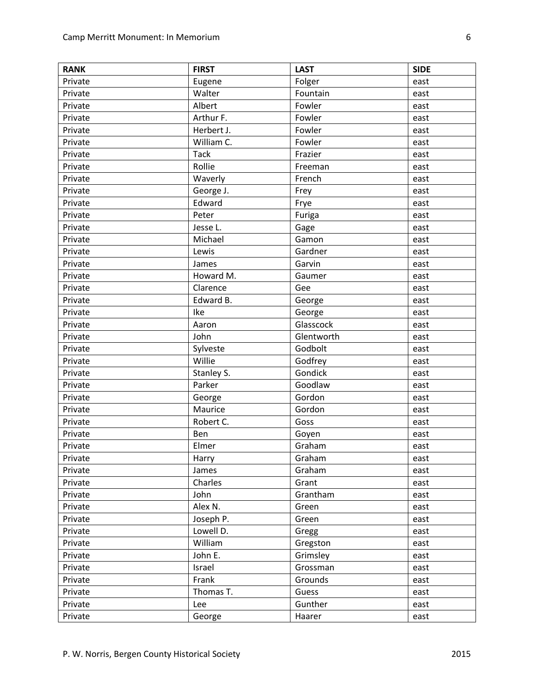| <b>RANK</b> | <b>FIRST</b> | <b>LAST</b> | <b>SIDE</b> |
|-------------|--------------|-------------|-------------|
| Private     | Eugene       | Folger      | east        |
| Private     | Walter       | Fountain    | east        |
| Private     | Albert       | Fowler      | east        |
| Private     | Arthur F.    | Fowler      | east        |
| Private     | Herbert J.   | Fowler      | east        |
| Private     | William C.   | Fowler      | east        |
| Private     | <b>Tack</b>  | Frazier     | east        |
| Private     | Rollie       | Freeman     | east        |
| Private     | Waverly      | French      | east        |
| Private     | George J.    | Frey        | east        |
| Private     | Edward       | Frye        | east        |
| Private     | Peter        | Furiga      | east        |
| Private     | Jesse L.     | Gage        | east        |
| Private     | Michael      | Gamon       | east        |
| Private     | Lewis        | Gardner     | east        |
| Private     | James        | Garvin      | east        |
| Private     | Howard M.    | Gaumer      | east        |
| Private     | Clarence     | Gee         | east        |
| Private     | Edward B.    | George      | east        |
| Private     | Ike          | George      | east        |
| Private     | Aaron        | Glasscock   | east        |
| Private     | John         | Glentworth  | east        |
| Private     | Sylveste     | Godbolt     | east        |
| Private     | Willie       | Godfrey     | east        |
| Private     | Stanley S.   | Gondick     | east        |
| Private     | Parker       | Goodlaw     | east        |
| Private     | George       | Gordon      | east        |
| Private     | Maurice      | Gordon      | east        |
| Private     | Robert C.    | Goss        | east        |
| Private     | Ben          | Goyen       | east        |
| Private     | Elmer        | Graham      | east        |
| Private     | Harry        | Graham      | east        |
| Private     | James        | Graham      | east        |
| Private     | Charles      | Grant       | east        |
| Private     | John         | Grantham    | east        |
| Private     | Alex N.      | Green       | east        |
| Private     | Joseph P.    | Green       | east        |
| Private     | Lowell D.    | Gregg       | east        |
| Private     | William      | Gregston    | east        |
| Private     | John E.      | Grimsley    | east        |
| Private     | Israel       | Grossman    | east        |
| Private     | Frank        | Grounds     | east        |
| Private     | Thomas T.    | Guess       | east        |
| Private     | Lee          | Gunther     | east        |
| Private     | George       | Haarer      | east        |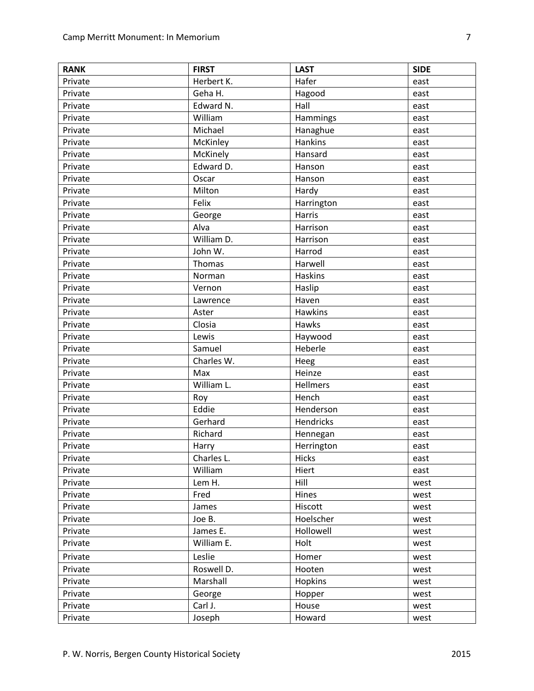| <b>RANK</b> | <b>FIRST</b>                    | <b>LAST</b>    | <b>SIDE</b> |
|-------------|---------------------------------|----------------|-------------|
| Private     | Herbert K.                      | Hafer          | east        |
| Private     | Geha H.                         | Hagood         | east        |
| Private     | Edward N.                       | Hall           | east        |
| Private     | William                         | Hammings       | east        |
| Private     | Michael                         | Hanaghue       | east        |
| Private     | McKinley                        | Hankins        | east        |
| Private     | McKinely                        | Hansard        | east        |
| Private     | Edward D.                       | Hanson         | east        |
| Private     | Oscar                           | Hanson         | east        |
| Private     | Milton                          | Hardy          | east        |
| Private     | Felix                           | Harrington     | east        |
| Private     | George                          | Harris         | east        |
| Private     | Alva                            | Harrison       | east        |
| Private     | $\overline{\text{William D}}$ . | Harrison       | east        |
| Private     | John W.                         | Harrod         | east        |
| Private     | Thomas                          | Harwell        | east        |
| Private     | Norman                          | <b>Haskins</b> | east        |
| Private     | Vernon                          | Haslip         | east        |
| Private     | Lawrence                        | Haven          | east        |
| Private     | Aster                           | <b>Hawkins</b> | east        |
| Private     | Closia                          | Hawks          | east        |
| Private     | Lewis                           | Haywood        | east        |
| Private     | Samuel                          | Heberle        | east        |
| Private     | Charles W.                      | Heeg           | east        |
| Private     | Max                             | Heinze         | east        |
| Private     | William L.                      | Hellmers       | east        |
| Private     | Roy                             | Hench          | east        |
| Private     | Eddie                           | Henderson      | east        |
| Private     | Gerhard                         | Hendricks      | east        |
| Private     | Richard                         | Hennegan       | east        |
| Private     | Harry                           | Herrington     | east        |
| Private     | Charles L.                      | <b>Hicks</b>   | east        |
| Private     | William                         | Hiert          | east        |
| Private     | Lem H.                          | Hill           | west        |
| Private     | Fred                            | Hines          | west        |
| Private     | James                           | Hiscott        | west        |
| Private     | Joe B.                          | Hoelscher      | west        |
| Private     | James E.                        | Hollowell      | west        |
| Private     | William E.                      | Holt           | west        |
| Private     | Leslie                          | Homer          | west        |
| Private     | Roswell D.                      | Hooten         | west        |
| Private     | Marshall                        | Hopkins        | west        |
| Private     | George                          | Hopper         | west        |
| Private     | Carl J.                         | House          | west        |
| Private     | Joseph                          | Howard         | west        |
|             |                                 |                |             |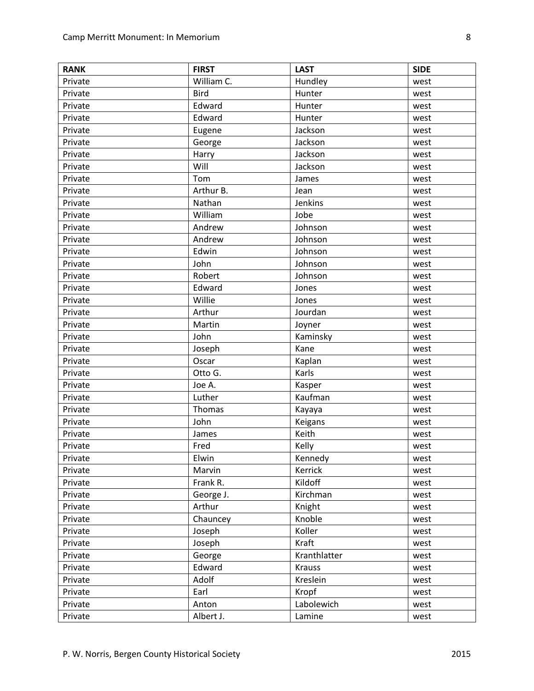| <b>RANK</b> | <b>FIRST</b> | <b>LAST</b>   | <b>SIDE</b> |
|-------------|--------------|---------------|-------------|
| Private     | William C.   | Hundley       | west        |
| Private     | <b>Bird</b>  | Hunter        | west        |
| Private     | Edward       | Hunter        | west        |
| Private     | Edward       | Hunter        | west        |
| Private     | Eugene       | Jackson       | west        |
| Private     | George       | Jackson       | west        |
| Private     | Harry        | Jackson       | west        |
| Private     | Will         | Jackson       | west        |
| Private     | Tom          | James         | west        |
| Private     | Arthur B.    | Jean          | west        |
| Private     | Nathan       | Jenkins       | west        |
| Private     | William      | Jobe          | west        |
| Private     | Andrew       | Johnson       | west        |
| Private     | Andrew       | Johnson       | west        |
| Private     | Edwin        | Johnson       | west        |
| Private     | John         | Johnson       | west        |
| Private     | Robert       | Johnson       | west        |
| Private     | Edward       | Jones         | west        |
| Private     | Willie       | Jones         | west        |
| Private     | Arthur       | Jourdan       | west        |
| Private     | Martin       | Joyner        | west        |
| Private     | John         | Kaminsky      | west        |
| Private     | Joseph       | Kane          | west        |
| Private     | Oscar        | Kaplan        | west        |
| Private     | Otto G.      | Karls         | west        |
| Private     | Joe A.       | Kasper        | west        |
| Private     | Luther       | Kaufman       | west        |
| Private     | Thomas       | Kayaya        | west        |
| Private     | John         | Keigans       | west        |
| Private     | James        | Keith         | west        |
| Private     | Fred         | Kelly         | west        |
| Private     | Elwin        | Kennedy       | west        |
| Private     | Marvin       | Kerrick       | west        |
| Private     | Frank R.     | Kildoff       | west        |
| Private     | George J.    | Kirchman      | west        |
| Private     | Arthur       | Knight        | west        |
| Private     | Chauncey     | Knoble        | west        |
| Private     | Joseph       | Koller        | west        |
| Private     | Joseph       | Kraft         | west        |
| Private     | George       | Kranthlatter  | west        |
| Private     | Edward       | <b>Krauss</b> | west        |
| Private     | Adolf        | Kreslein      | west        |
| Private     | Earl         | Kropf         | west        |
| Private     | Anton        | Labolewich    | west        |
| Private     | Albert J.    | Lamine        | west        |
|             |              |               |             |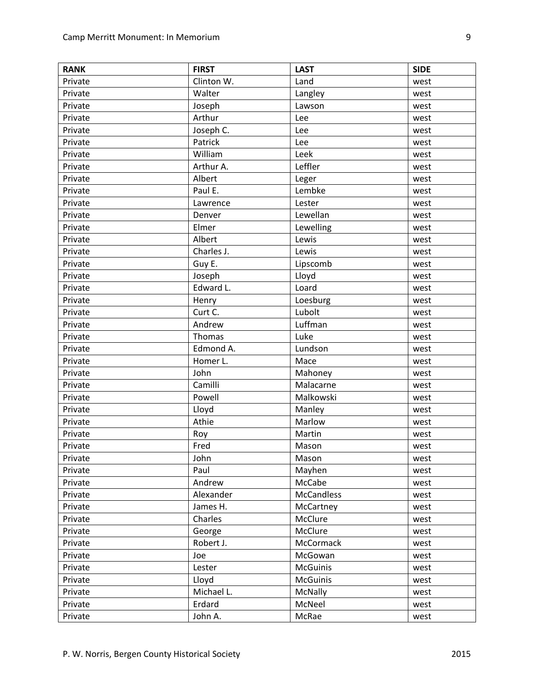| <b>RANK</b> | <b>FIRST</b> | <b>LAST</b>       | <b>SIDE</b> |
|-------------|--------------|-------------------|-------------|
| Private     | Clinton W.   | Land              | west        |
| Private     | Walter       | Langley           | west        |
| Private     | Joseph       | Lawson            | west        |
| Private     | Arthur       | Lee               | west        |
| Private     | Joseph C.    | Lee               | west        |
| Private     | Patrick      | Lee               | west        |
| Private     | William      | Leek              | west        |
| Private     | Arthur A.    | Leffler           | west        |
| Private     | Albert       | Leger             | west        |
| Private     | Paul E.      | Lembke            | west        |
| Private     | Lawrence     | Lester            | west        |
| Private     | Denver       | Lewellan          | west        |
| Private     | Elmer        | Lewelling         | west        |
| Private     | Albert       | Lewis             | west        |
| Private     | Charles J.   | Lewis             | west        |
| Private     | Guy E.       | Lipscomb          | west        |
| Private     | Joseph       | Lloyd             | west        |
| Private     | Edward L.    | Loard             | west        |
| Private     | Henry        | Loesburg          | west        |
| Private     | Curt C.      | Lubolt            | west        |
| Private     | Andrew       | Luffman           | west        |
| Private     | Thomas       | Luke              | west        |
| Private     | Edmond A.    | Lundson           | west        |
| Private     | Homer L.     | Mace              | west        |
| Private     | John         | Mahoney           | west        |
| Private     | Camilli      | Malacarne         | west        |
| Private     | Powell       | Malkowski         | west        |
| Private     | Lloyd        | Manley            | west        |
| Private     | Athie        | Marlow            | west        |
| Private     | Roy          | Martin            | west        |
| Private     | Fred         | Mason             | west        |
| Private     | John         | Mason             | west        |
| Private     | Paul         | Mayhen            | west        |
| Private     | Andrew       | McCabe            | west        |
| Private     | Alexander    | <b>McCandless</b> | west        |
| Private     | James H.     | McCartney         | west        |
| Private     | Charles      | McClure           | west        |
| Private     | George       | McClure           | west        |
| Private     | Robert J.    | <b>McCormack</b>  | west        |
| Private     | Joe          | McGowan           | west        |
| Private     | Lester       | <b>McGuinis</b>   | west        |
| Private     | Lloyd        | <b>McGuinis</b>   | west        |
| Private     | Michael L.   | McNally           | west        |
| Private     | Erdard       | McNeel            | west        |
| Private     | John A.      | McRae             | west        |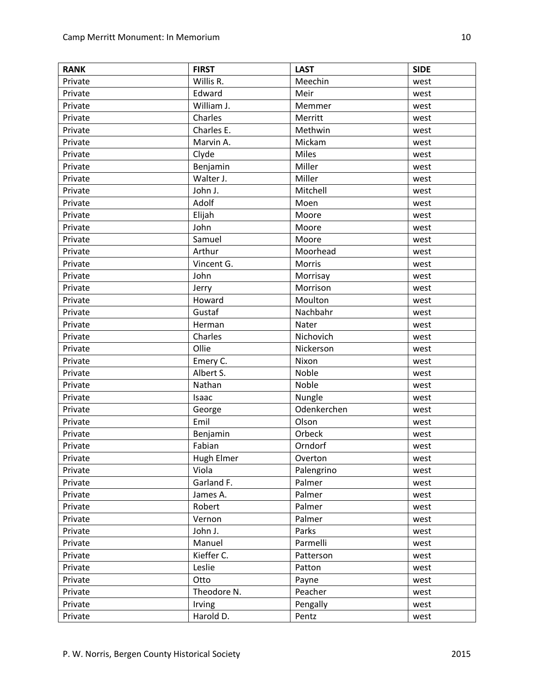| Willis R.<br>Private<br>Meechin<br>west<br>Edward<br>Private<br>Meir<br>west<br>William J.<br>Private<br>Memmer<br>west<br>Charles<br>Merritt<br>Private<br>west<br>Charles E.<br>Private<br>Methwin<br>west<br>Marvin A.<br>Mickam<br>Private<br>west<br><b>Miles</b><br>Private<br>Clyde<br>west<br>Miller<br>Benjamin<br>Private<br>west<br>Miller<br>Walter J.<br>Private<br>west<br>John J.<br>Mitchell<br>Private<br>west<br>Adolf<br>Private<br>Moen<br>west<br>Elijah<br>Private<br>Moore<br>west |
|-----------------------------------------------------------------------------------------------------------------------------------------------------------------------------------------------------------------------------------------------------------------------------------------------------------------------------------------------------------------------------------------------------------------------------------------------------------------------------------------------------------|
|                                                                                                                                                                                                                                                                                                                                                                                                                                                                                                           |
|                                                                                                                                                                                                                                                                                                                                                                                                                                                                                                           |
|                                                                                                                                                                                                                                                                                                                                                                                                                                                                                                           |
|                                                                                                                                                                                                                                                                                                                                                                                                                                                                                                           |
|                                                                                                                                                                                                                                                                                                                                                                                                                                                                                                           |
|                                                                                                                                                                                                                                                                                                                                                                                                                                                                                                           |
|                                                                                                                                                                                                                                                                                                                                                                                                                                                                                                           |
|                                                                                                                                                                                                                                                                                                                                                                                                                                                                                                           |
|                                                                                                                                                                                                                                                                                                                                                                                                                                                                                                           |
|                                                                                                                                                                                                                                                                                                                                                                                                                                                                                                           |
|                                                                                                                                                                                                                                                                                                                                                                                                                                                                                                           |
|                                                                                                                                                                                                                                                                                                                                                                                                                                                                                                           |
| Private<br>John<br>Moore<br>west                                                                                                                                                                                                                                                                                                                                                                                                                                                                          |
| Samuel<br>Moore<br>Private<br>west                                                                                                                                                                                                                                                                                                                                                                                                                                                                        |
| Arthur<br>Private<br>Moorhead<br>west                                                                                                                                                                                                                                                                                                                                                                                                                                                                     |
| Vincent G.<br>Morris<br>Private<br>west                                                                                                                                                                                                                                                                                                                                                                                                                                                                   |
| John<br>Private<br>Morrisay<br>west                                                                                                                                                                                                                                                                                                                                                                                                                                                                       |
| Morrison<br>Private<br>Jerry<br>west                                                                                                                                                                                                                                                                                                                                                                                                                                                                      |
| Howard<br>Moulton<br>Private<br>west                                                                                                                                                                                                                                                                                                                                                                                                                                                                      |
| Gustaf<br>Nachbahr<br>Private<br>west                                                                                                                                                                                                                                                                                                                                                                                                                                                                     |
| Private<br>Herman<br>Nater<br>west                                                                                                                                                                                                                                                                                                                                                                                                                                                                        |
| Charles<br>Nichovich<br>Private<br>west                                                                                                                                                                                                                                                                                                                                                                                                                                                                   |
| Ollie<br>Nickerson<br>Private<br>west                                                                                                                                                                                                                                                                                                                                                                                                                                                                     |
| Emery C.<br>Nixon<br>Private<br>west                                                                                                                                                                                                                                                                                                                                                                                                                                                                      |
| Albert S.<br>Noble<br>Private<br>west                                                                                                                                                                                                                                                                                                                                                                                                                                                                     |
| Nathan<br>Noble<br>Private<br>west                                                                                                                                                                                                                                                                                                                                                                                                                                                                        |
| Isaac<br>Nungle<br>Private<br>west                                                                                                                                                                                                                                                                                                                                                                                                                                                                        |
| Odenkerchen<br>Private<br>George<br>west                                                                                                                                                                                                                                                                                                                                                                                                                                                                  |
| Emil<br>Olson<br>Private<br>west                                                                                                                                                                                                                                                                                                                                                                                                                                                                          |
| Benjamin<br>Orbeck<br>Private<br>west                                                                                                                                                                                                                                                                                                                                                                                                                                                                     |
| Fabian<br>Orndorf<br>Private<br>west                                                                                                                                                                                                                                                                                                                                                                                                                                                                      |
| Hugh Elmer<br>Private<br>Overton<br>west                                                                                                                                                                                                                                                                                                                                                                                                                                                                  |
| Viola<br>Palengrino<br>Private<br>west                                                                                                                                                                                                                                                                                                                                                                                                                                                                    |
| Garland F.<br>Palmer<br>Private<br>west                                                                                                                                                                                                                                                                                                                                                                                                                                                                   |
| Palmer<br>Private<br>James A.<br>west                                                                                                                                                                                                                                                                                                                                                                                                                                                                     |
| Robert<br>Palmer<br>Private<br>west                                                                                                                                                                                                                                                                                                                                                                                                                                                                       |
| Vernon<br>Palmer<br>Private<br>west                                                                                                                                                                                                                                                                                                                                                                                                                                                                       |
| Parks<br>Private<br>John J.<br>west                                                                                                                                                                                                                                                                                                                                                                                                                                                                       |
| Manuel<br>Parmelli<br>Private<br>west                                                                                                                                                                                                                                                                                                                                                                                                                                                                     |
| Kieffer C.<br>Private<br>Patterson<br>west                                                                                                                                                                                                                                                                                                                                                                                                                                                                |
| Leslie<br>Private<br>Patton<br>west                                                                                                                                                                                                                                                                                                                                                                                                                                                                       |
| Private<br>Otto<br>Payne<br>west                                                                                                                                                                                                                                                                                                                                                                                                                                                                          |
| Theodore N.<br>Peacher<br>Private<br>west                                                                                                                                                                                                                                                                                                                                                                                                                                                                 |
| Pengally<br>Private<br>Irving<br>west                                                                                                                                                                                                                                                                                                                                                                                                                                                                     |
| Harold D.<br>Pentz<br>Private<br>west                                                                                                                                                                                                                                                                                                                                                                                                                                                                     |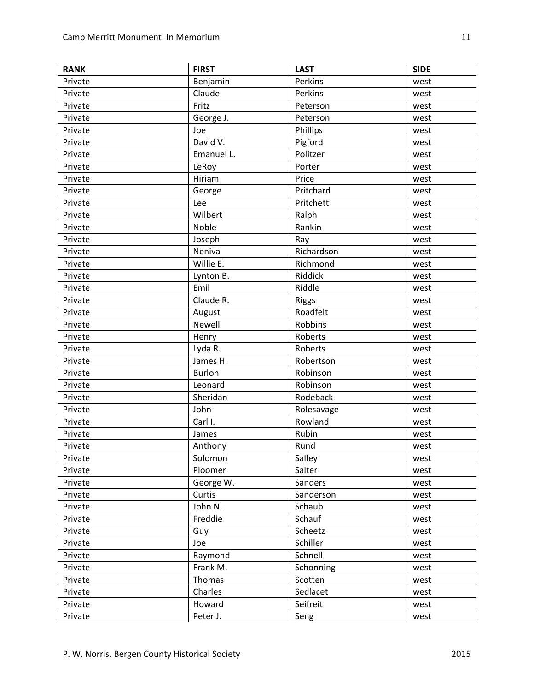| <b>RANK</b> | <b>FIRST</b>  | <b>LAST</b>  | <b>SIDE</b> |
|-------------|---------------|--------------|-------------|
| Private     | Benjamin      | Perkins      | west        |
| Private     | Claude        | Perkins      | west        |
| Private     | Fritz         | Peterson     | west        |
| Private     | George J.     | Peterson     | west        |
| Private     | Joe           | Phillips     | west        |
| Private     | David V.      | Pigford      | west        |
| Private     | Emanuel L.    | Politzer     | west        |
| Private     | LeRoy         | Porter       | west        |
| Private     | Hiriam        | Price        | west        |
| Private     | George        | Pritchard    | west        |
| Private     | Lee           | Pritchett    | west        |
| Private     | Wilbert       | Ralph        | west        |
| Private     | Noble         | Rankin       | west        |
| Private     | Joseph        | Ray          | west        |
| Private     | Neniva        | Richardson   | west        |
| Private     | Willie E.     | Richmond     | west        |
| Private     | Lynton B.     | Riddick      | west        |
| Private     | Emil          | Riddle       | west        |
| Private     | Claude R.     | <b>Riggs</b> | west        |
| Private     | August        | Roadfelt     | west        |
| Private     | Newell        | Robbins      | west        |
| Private     | Henry         | Roberts      | west        |
| Private     | Lyda R.       | Roberts      | west        |
| Private     | James H.      | Robertson    | west        |
| Private     | <b>Burlon</b> | Robinson     | west        |
| Private     | Leonard       | Robinson     | west        |
| Private     | Sheridan      | Rodeback     | west        |
| Private     | John          | Rolesavage   | west        |
| Private     | Carl I.       | Rowland      | west        |
| Private     | James         | Rubin        | west        |
| Private     | Anthony       | Rund         | west        |
| Private     | Solomon       | Salley       | west        |
| Private     | Ploomer       | Salter       | west        |
| Private     | George W.     | Sanders      | west        |
| Private     | Curtis        | Sanderson    | west        |
| Private     | John N.       | Schaub       | west        |
| Private     | Freddie       | Schauf       | west        |
| Private     | Guy           | Scheetz      | west        |
| Private     | Joe           | Schiller     | west        |
| Private     | Raymond       | Schnell      | west        |
| Private     | Frank M.      | Schonning    | west        |
| Private     | Thomas        | Scotten      | west        |
| Private     | Charles       | Sedlacet     | west        |
| Private     | Howard        | Seifreit     | west        |
| Private     | Peter J.      | Seng         | west        |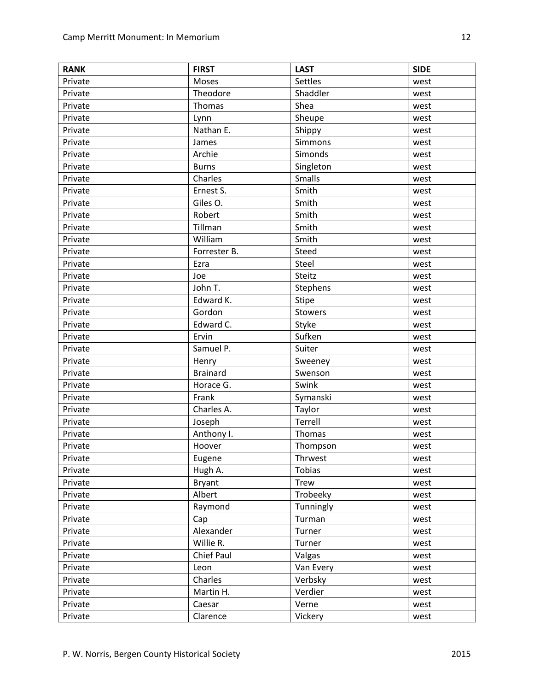| <b>RANK</b> | <b>FIRST</b>    | <b>LAST</b>    | <b>SIDE</b> |
|-------------|-----------------|----------------|-------------|
| Private     | Moses           | Settles        | west        |
| Private     | Theodore        | Shaddler       | west        |
| Private     | Thomas          | Shea           | west        |
| Private     | Lynn            | Sheupe         | west        |
| Private     | Nathan E.       | Shippy         | west        |
| Private     | James           | Simmons        | west        |
| Private     | Archie          | Simonds        | west        |
| Private     | <b>Burns</b>    | Singleton      | west        |
| Private     | Charles         | Smalls         | west        |
| Private     | Ernest S.       | Smith          | west        |
| Private     | Giles O.        | Smith          | west        |
| Private     | Robert          | Smith          | west        |
| Private     | Tillman         | Smith          | west        |
| Private     | William         | Smith          | west        |
| Private     | Forrester B.    | Steed          | west        |
| Private     | Ezra            | Steel          | west        |
| Private     | Joe             | Steitz         | west        |
| Private     | John T.         | Stephens       | west        |
| Private     | Edward K.       | <b>Stipe</b>   | west        |
| Private     | Gordon          | <b>Stowers</b> | west        |
| Private     | Edward C.       | Styke          | west        |
| Private     | Ervin           | Sufken         | west        |
| Private     | Samuel P.       | Suiter         | west        |
| Private     | Henry           | Sweeney        | west        |
| Private     | <b>Brainard</b> | Swenson        | west        |
| Private     | Horace G.       | Swink          | west        |
| Private     | Frank           | Symanski       | west        |
| Private     | Charles A.      | Taylor         | west        |
| Private     | Joseph          | Terrell        | west        |
| Private     | Anthony I.      | Thomas         | west        |
| Private     | Hoover          | Thompson       | west        |
| Private     | Eugene          | Thrwest        | west        |
| Private     | Hugh A.         | <b>Tobias</b>  | west        |
| Private     | Bryant          | <b>Trew</b>    | west        |
| Private     | Albert          | Trobeeky       | west        |
| Private     | Raymond         | Tunningly      | west        |
| Private     | Cap             | Turman         | west        |
| Private     | Alexander       | Turner         | west        |
| Private     | Willie R.       | Turner         | west        |
| Private     | Chief Paul      | Valgas         | west        |
| Private     | Leon            | Van Every      | west        |
| Private     | Charles         | Verbsky        | west        |
| Private     | Martin H.       | Verdier        | west        |
| Private     | Caesar          | Verne          | west        |
| Private     | Clarence        | Vickery        | west        |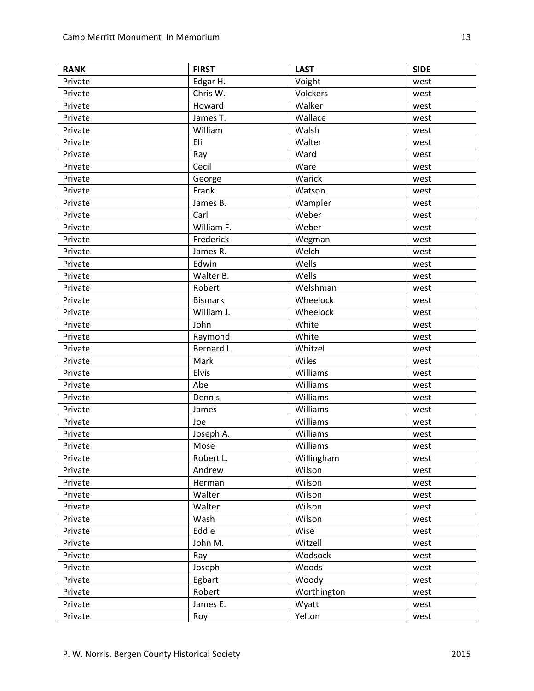| <b>RANK</b> | <b>FIRST</b>   | <b>LAST</b> | <b>SIDE</b> |
|-------------|----------------|-------------|-------------|
| Private     | Edgar H.       | Voight      | west        |
| Private     | Chris W.       | Volckers    | west        |
| Private     | Howard         | Walker      | west        |
| Private     | James T.       | Wallace     | west        |
| Private     | William        | Walsh       | west        |
| Private     | Eli            | Walter      | west        |
| Private     | Ray            | Ward        | west        |
| Private     | Cecil          | Ware        | west        |
| Private     | George         | Warick      | west        |
| Private     | Frank          | Watson      | west        |
| Private     | James B.       | Wampler     | west        |
| Private     | Carl           | Weber       | west        |
| Private     | William F.     | Weber       | west        |
| Private     | Frederick      | Wegman      | west        |
| Private     | James R.       | Welch       | west        |
| Private     | Edwin          | Wells       | west        |
| Private     | Walter B.      | Wells       | west        |
| Private     | Robert         | Welshman    | west        |
| Private     | <b>Bismark</b> | Wheelock    | west        |
| Private     | William J.     | Wheelock    | west        |
| Private     | John           | White       | west        |
| Private     | Raymond        | White       | west        |
| Private     | Bernard L.     | Whitzel     | west        |
| Private     | Mark           | Wiles       | west        |
| Private     | Elvis          | Williams    | west        |
| Private     | Abe            | Williams    | west        |
| Private     | Dennis         | Williams    | west        |
| Private     | James          | Williams    | west        |
| Private     | Joe            | Williams    | west        |
| Private     | Joseph A.      | Williams    | west        |
| Private     | Mose           | Williams    | west        |
| Private     | Robert L.      | Willingham  | west        |
| Private     | Andrew         | Wilson      | west        |
| Private     | Herman         | Wilson      | west        |
| Private     | Walter         | Wilson      | west        |
| Private     | Walter         | Wilson      | west        |
| Private     | Wash           | Wilson      | west        |
| Private     | Eddie          | Wise        | west        |
| Private     | John M.        | Witzell     | west        |
| Private     | Ray            | Wodsock     | west        |
| Private     | Joseph         | Woods       | west        |
| Private     | Egbart         | Woody       | west        |
| Private     | Robert         | Worthington | west        |
| Private     | James E.       | Wyatt       | west        |
| Private     | Roy            | Yelton      | west        |